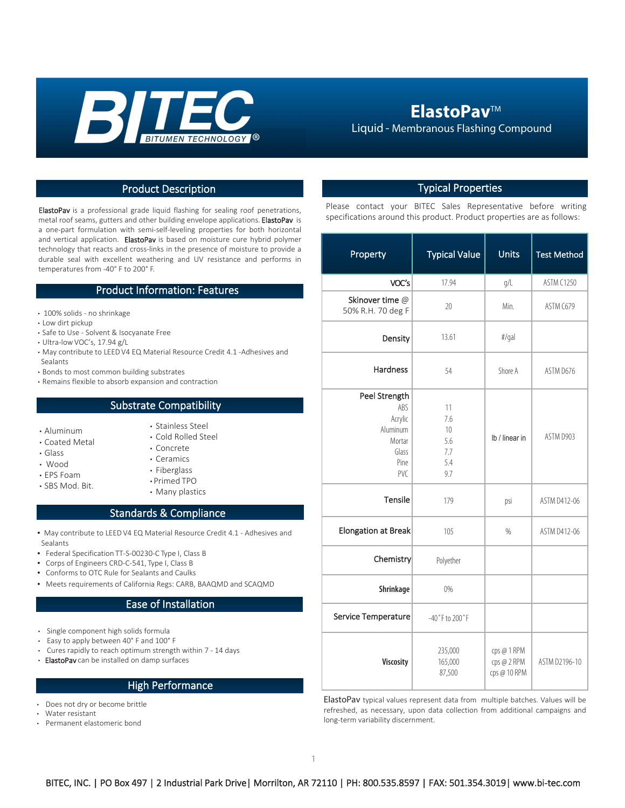

## **ElastoPav™**

Liquid - Membranous Flashing Compound

### Product Description **Typical Properties**

ElastoPav is a professional grade liquid flashing for sealing roof penetrations, metal roof seams, gutters and other building envelope applications. ElastoPav is a one-part formulation with semi-self-leveling properties for both horizontal and vertical application. ElastoPav is based on moisture cure hybrid polymer technology that reacts and cross-links in the presence of moisture to provide a durable seal with excellent weathering and UV resistance and performs in temperatures from -40° F to 200° F.

### Product Information: Features

- 100% solids no shrinkage
- Low dirt pickup
- Safe to Use Solvent & Isocyanate Free
- Ultra-low VOC's, 17.94 g/L
- May contribute to LEED V4 EQ Material Resource Credit 4.1 -Adhesives and Sealants
- Bonds to most common building substrates
- Remains flexible to absorb expansion and contraction

#### Substrate Compatibility

• Aluminum

• EPS Foam • SBS Mod. Bit.

- Coated Metal
- Glass
- Wood
- Concrete • Ceramics
	- Fiberglass
	- Primed TPO

• Stainless Steel • Cold Rolled Steel

• Many plastics

#### Standards & Compliance

- May contribute to LEED V4 EQ Material Resource Credit 4.1 Adhesives and Sealants
- Federal Specification TT-S-00230-C Type I, Class B
- Corps of Engineers CRD-C-541, Type I, Class B
- Conforms to OTC Rule for Sealants and Caulks
- Meets requirements of California Regs: CARB, BAAQMD and SCAQMD

#### Ease of Installation

- Single component high solids formula
- Easy to apply between 40° F and 100° F
- Cures rapidly to reach optimum strength within 7 14 days
- ElastoPav can be installed on damp surfaces

#### High Performance

- Does not dry or become brittle
- Water resistant
- Permanent elastomeric bond

Please contact your BITEC Sales Representative before writing specifications around this product. Product properties are as follows:

| Property                                                                      | <b>Typical Value</b>                        | <b>Units</b>                               | <b>Test Method</b> |
|-------------------------------------------------------------------------------|---------------------------------------------|--------------------------------------------|--------------------|
| VOC's                                                                         | 17.94                                       | g/L                                        | <b>ASTM C1250</b>  |
| Skinover time @<br>50% R.H. 70 deg F                                          | 20                                          | Min.                                       | ASTM C679          |
| Density                                                                       | 13.61                                       | #/gal                                      |                    |
| Hardness                                                                      | 54                                          | Shore A                                    | ASTM D676          |
| Peel Strength<br>ABS<br>Acrylic<br>Aluminum<br>Mortar<br>Glass<br>Pine<br>PVC | 11<br>7.6<br>10<br>5.6<br>7.7<br>5.4<br>9.7 | Ib / linear in                             | ASTM D903          |
| Tensile                                                                       | 179                                         | psi                                        | ASTM D412-06       |
| <b>Elongation at Break</b>                                                    | 105                                         | %                                          | ASTM D412-06       |
| Chemistry                                                                     | Polyether                                   |                                            |                    |
| Shrinkage                                                                     | 0%                                          |                                            |                    |
| Service Temperature                                                           | $-40$ °F to $200$ °F                        |                                            |                    |
| <b>Viscosity</b>                                                              | 235,000<br>165,000<br>87,500                | cps @ 1 RPM<br>cps @ 2 RPM<br>cps @ 10 RPM | ASTM D2196-10      |

ElastoPav typical values represent data from multiple batches. Values will be refreshed, as necessary, upon data collection from additional campaigns and long-term variability discernment.